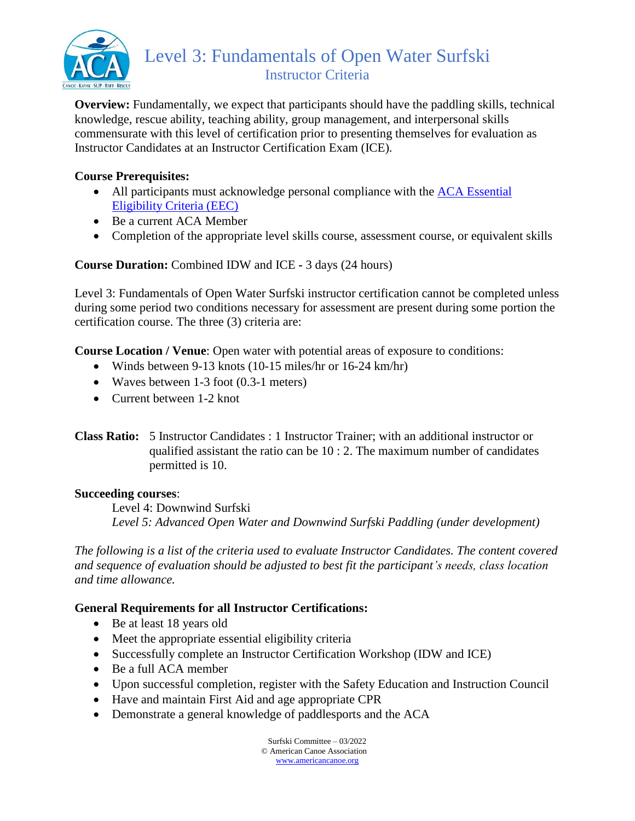

**Overview:** Fundamentally, we expect that participants should have the paddling skills, technical knowledge, rescue ability, teaching ability, group management, and interpersonal skills commensurate with this level of certification prior to presenting themselves for evaluation as Instructor Candidates at an Instructor Certification Exam (ICE).

### **Course Prerequisites:**

- All participants must acknowledge personal compliance with the ACA Essential [Eligibility Criteria \(EEC\)](https://americancanoe.org/essential-eligibility-criteria/)
- Be a current ACA Member
- Completion of the appropriate level skills course, assessment course, or equivalent skills

## **Course Duration:** Combined IDW and ICE **-** 3 days (24 hours)

Level 3: Fundamentals of Open Water Surfski instructor certification cannot be completed unless during some period two conditions necessary for assessment are present during some portion the certification course. The three (3) criteria are:

**Course Location / Venue**: Open water with potential areas of exposure to conditions:

- Winds between 9-13 knots (10-15 miles/hr or 16-24 km/hr)
- Waves between 1-3 foot (0.3-1 meters)
- Current between 1-2 knot
- **Class Ratio:** 5 Instructor Candidates : 1 Instructor Trainer; with an additional instructor or qualified assistant the ratio can be 10 : 2. The maximum number of candidates permitted is 10.

### **Succeeding courses**:

Level 4: Downwind Surfski *Level 5: Advanced Open Water and Downwind Surfski Paddling (under development)*

*The following is a list of the criteria used to evaluate Instructor Candidates. The content covered and sequence of evaluation should be adjusted to best fit the participant's needs, class location and time allowance.*

### **General Requirements for all Instructor Certifications:**

- Be at least 18 years old
- Meet the appropriate essential eligibility criteria
- Successfully complete an Instructor Certification Workshop (IDW and ICE)
- Be a full ACA member
- Upon successful completion, register with the Safety Education and Instruction Council
- Have and maintain First Aid and age appropriate CPR
- Demonstrate a general knowledge of paddlesports and the ACA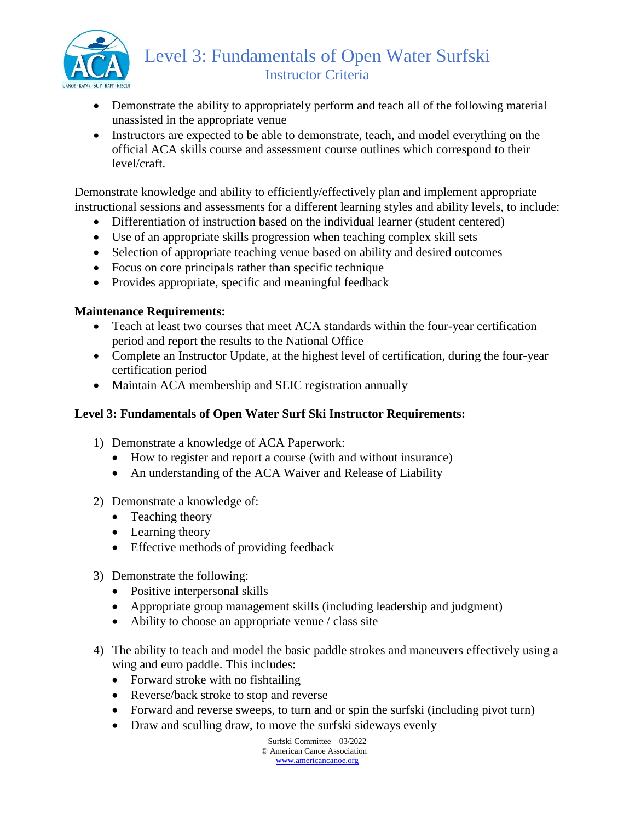

# Level 3: Fundamentals of Open Water Surfski Instructor Criteria

- Demonstrate the ability to appropriately perform and teach all of the following material unassisted in the appropriate venue
- Instructors are expected to be able to demonstrate, teach, and model everything on the official ACA skills course and assessment course outlines which correspond to their level/craft.

Demonstrate knowledge and ability to efficiently/effectively plan and implement appropriate instructional sessions and assessments for a different learning styles and ability levels, to include:

- Differentiation of instruction based on the individual learner (student centered)
- Use of an appropriate skills progression when teaching complex skill sets
- Selection of appropriate teaching venue based on ability and desired outcomes
- Focus on core principals rather than specific technique
- Provides appropriate, specific and meaningful feedback

#### **Maintenance Requirements:**

- Teach at least two courses that meet ACA standards within the four-year certification period and report the results to the National Office
- Complete an Instructor Update, at the highest level of certification, during the four-year certification period
- Maintain ACA membership and SEIC registration annually

### **Level 3: Fundamentals of Open Water Surf Ski Instructor Requirements:**

- 1) Demonstrate a knowledge of ACA Paperwork:
	- How to register and report a course (with and without insurance)
	- An understanding of the ACA Waiver and Release of Liability
- 2) Demonstrate a knowledge of:
	- Teaching theory
	- Learning theory
	- Effective methods of providing feedback
- 3) Demonstrate the following:
	- Positive interpersonal skills
	- Appropriate group management skills (including leadership and judgment)
	- Ability to choose an appropriate venue / class site
- 4) The ability to teach and model the basic paddle strokes and maneuvers effectively using a wing and euro paddle. This includes:
	- Forward stroke with no fishtailing
	- Reverse/back stroke to stop and reverse
	- Forward and reverse sweeps, to turn and or spin the surfski (including pivot turn)
	- Draw and sculling draw, to move the surfski sideways evenly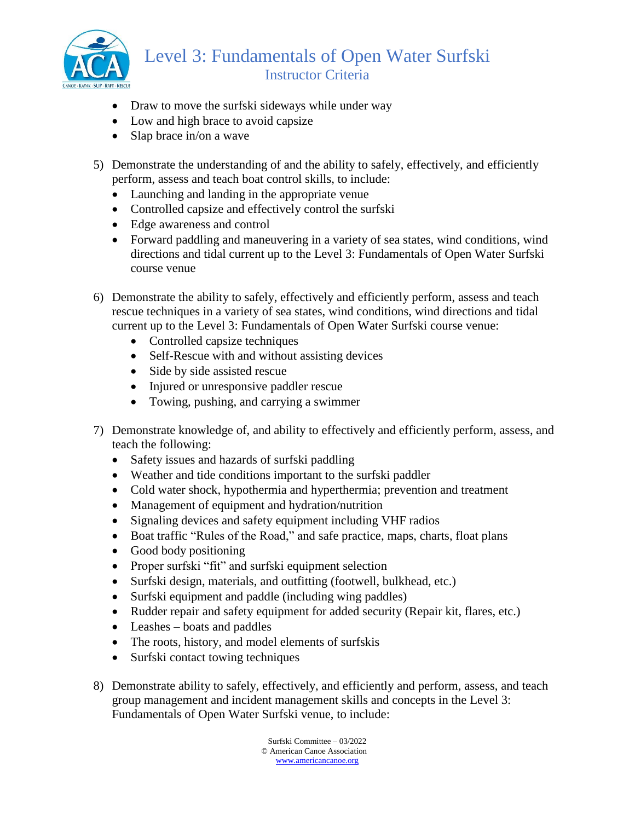

# Level 3: Fundamentals of Open Water Surfski Instructor Criteria

- Draw to move the surfski sideways while under way
- Low and high brace to avoid capsize
- Slap brace in/on a wave
- 5) Demonstrate the understanding of and the ability to safely, effectively, and efficiently perform, assess and teach boat control skills, to include:
	- Launching and landing in the appropriate venue
	- Controlled capsize and effectively control the surfski
	- Edge awareness and control
	- Forward paddling and maneuvering in a variety of sea states, wind conditions, wind directions and tidal current up to the Level 3: Fundamentals of Open Water Surfski course venue
- 6) Demonstrate the ability to safely, effectively and efficiently perform, assess and teach rescue techniques in a variety of sea states, wind conditions, wind directions and tidal current up to the Level 3: Fundamentals of Open Water Surfski course venue:
	- Controlled capsize techniques
	- Self-Rescue with and without assisting devices
	- Side by side assisted rescue
	- Injured or unresponsive paddler rescue
	- Towing, pushing, and carrying a swimmer
- 7) Demonstrate knowledge of, and ability to effectively and efficiently perform, assess, and teach the following:
	- Safety issues and hazards of surfski paddling
	- Weather and tide conditions important to the surfski paddler
	- Cold water shock, hypothermia and hyperthermia; prevention and treatment
	- Management of equipment and hydration/nutrition
	- Signaling devices and safety equipment including VHF radios
	- Boat traffic "Rules of the Road," and safe practice, maps, charts, float plans
	- Good body positioning
	- Proper surfski "fit" and surfski equipment selection
	- Surfski design, materials, and outfitting (footwell, bulkhead, etc.)
	- Surfski equipment and paddle (including wing paddles)
	- Rudder repair and safety equipment for added security (Repair kit, flares, etc.)
	- Leashes boats and paddles
	- The roots, history, and model elements of surfskis
	- Surfski contact towing techniques
- 8) Demonstrate ability to safely, effectively, and efficiently and perform, assess, and teach group management and incident management skills and concepts in the Level 3: Fundamentals of Open Water Surfski venue, to include: